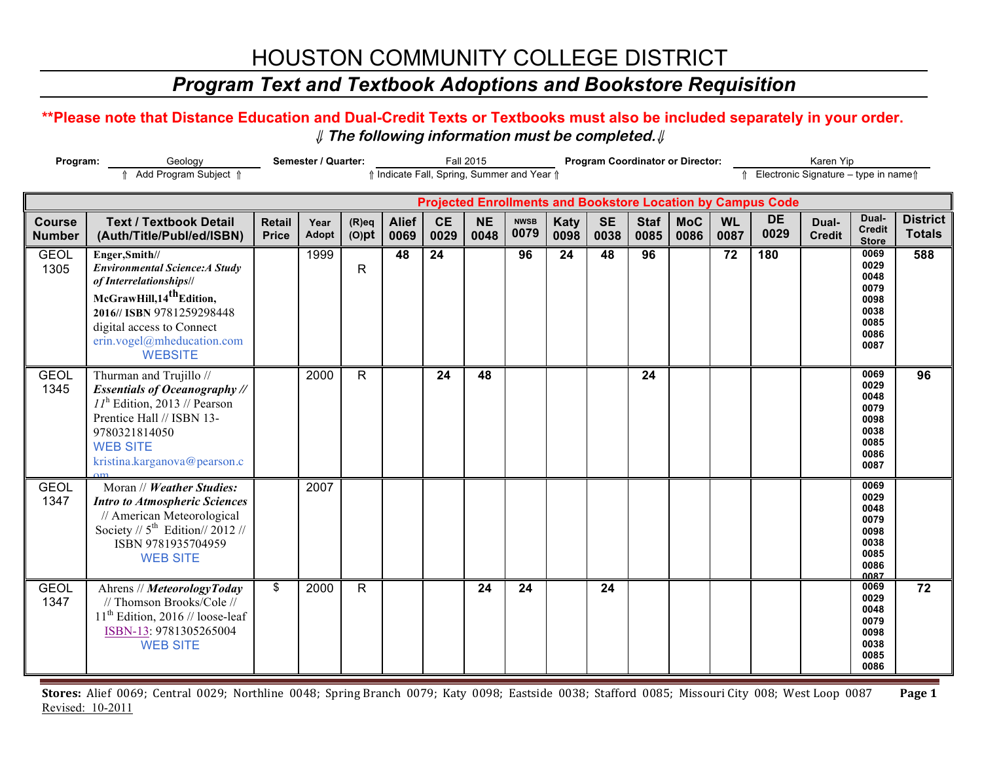# HOUSTON COMMUNITY COLLEGE DISTRICT

### *Program Text and Textbook Adoptions and Bookstore Requisition*

### **\*\*Please note that Distance Education and Dual-Credit Texts or Textbooks must also be included separately in your order.**  ⇓ **The following information must be completed.**⇓

| Program:                       |                                                                                                                                                                                                                                       | Semester / Quarter:                                                               |                      | Fall 2015<br><b>Program Coordinator or Director:</b> |                      |                   |                   |                     |                     |                   |                     | Karen Yip          |                   |                                                                    |                        |                                                                      |                                  |
|--------------------------------|---------------------------------------------------------------------------------------------------------------------------------------------------------------------------------------------------------------------------------------|-----------------------------------------------------------------------------------|----------------------|------------------------------------------------------|----------------------|-------------------|-------------------|---------------------|---------------------|-------------------|---------------------|--------------------|-------------------|--------------------------------------------------------------------|------------------------|----------------------------------------------------------------------|----------------------------------|
|                                | ↑ Add Program Subject ↑                                                                                                                                                                                                               | ↑ Indicate Fall, Spring, Summer and Year ↑<br>Electronic Signature - type in name |                      |                                                      |                      |                   |                   |                     |                     |                   |                     |                    |                   |                                                                    |                        |                                                                      |                                  |
|                                |                                                                                                                                                                                                                                       |                                                                                   |                      |                                                      |                      |                   |                   |                     |                     |                   |                     |                    |                   | <b>Projected Enrollments and Bookstore Location by Campus Code</b> |                        |                                                                      |                                  |
| <b>Course</b><br><b>Number</b> | <b>Text / Textbook Detail</b><br>(Auth/Title/Publ/ed/ISBN)                                                                                                                                                                            | <b>Retail</b><br><b>Price</b>                                                     | Year<br><b>Adopt</b> | $(R)$ eq<br>$(O)$ pt                                 | <b>Alief</b><br>0069 | <b>CE</b><br>0029 | <b>NE</b><br>0048 | <b>NWSB</b><br>0079 | <b>Katy</b><br>0098 | <b>SE</b><br>0038 | <b>Staf</b><br>0085 | <b>MoC</b><br>0086 | <b>WL</b><br>0087 | <b>DE</b><br>0029                                                  | Dual-<br><b>Credit</b> | Dual-<br><b>Credit</b><br><b>Store</b>                               | <b>District</b><br><b>Totals</b> |
| <b>GEOL</b><br>1305            | Enger, Smith//<br><b>Environmental Science: A Study</b><br>of Interrelationships//<br>McGrawHill, 14 <sup>th</sup> Edition,<br>2016// ISBN 9781259298448<br>digital access to Connect<br>erin.vogel@mheducation.com<br><b>WEBSITE</b> |                                                                                   | 1999                 | $\mathsf{R}$                                         | 48                   | 24                |                   | 96                  | 24                  | 48                | 96                  |                    | 72                | 180                                                                |                        | 0069<br>0029<br>0048<br>0079<br>0098<br>0038<br>0085<br>0086<br>0087 | 588                              |
| <b>GEOL</b><br>1345            | Thurman and Trujillo //<br><b>Essentials of Oceanography //</b><br>$II^{\text{h}}$ Edition, 2013 // Pearson<br>Prentice Hall // ISBN 13-<br>9780321814050<br><b>WEB SITE</b><br>kristina.karganova@pearson.c                          |                                                                                   | 2000                 | R                                                    |                      | 24                | 48                |                     |                     |                   | 24                  |                    |                   |                                                                    |                        | 0069<br>0029<br>0048<br>0079<br>0098<br>0038<br>0085<br>0086<br>0087 | 96                               |
| <b>GEOL</b><br>1347            | Moran // Weather Studies:<br><b>Intro to Atmospheric Sciences</b><br>// American Meteorological<br>Society // $5^{\text{th}}$ Edition// 2012 //<br>ISBN 9781935704959<br><b>WEB SITE</b>                                              |                                                                                   | 2007                 |                                                      |                      |                   |                   |                     |                     |                   |                     |                    |                   |                                                                    |                        | 0069<br>0029<br>0048<br>0079<br>0098<br>0038<br>0085<br>0086<br>0087 |                                  |
| <b>GEOL</b><br>1347            | Ahrens // MeteorologyToday<br>// Thomson Brooks/Cole //<br>$11th$ Edition, 2016 // loose-leaf<br>ISBN-13: 9781305265004<br><b>WEB SITE</b>                                                                                            | \$                                                                                | 2000                 | $\mathsf{R}$                                         |                      |                   | 24                | 24                  |                     | 24                |                     |                    |                   |                                                                    |                        | 0069<br>0029<br>0048<br>0079<br>0098<br>0038<br>0085<br>0086         | 72                               |

Stores: Alief 0069; Central 0029; Northline 0048; Spring Branch 0079; Katy 0098; Eastside 0038; Stafford 0085; Missouri City 008; West Loop 0087 Page 1 Revised: 10-2011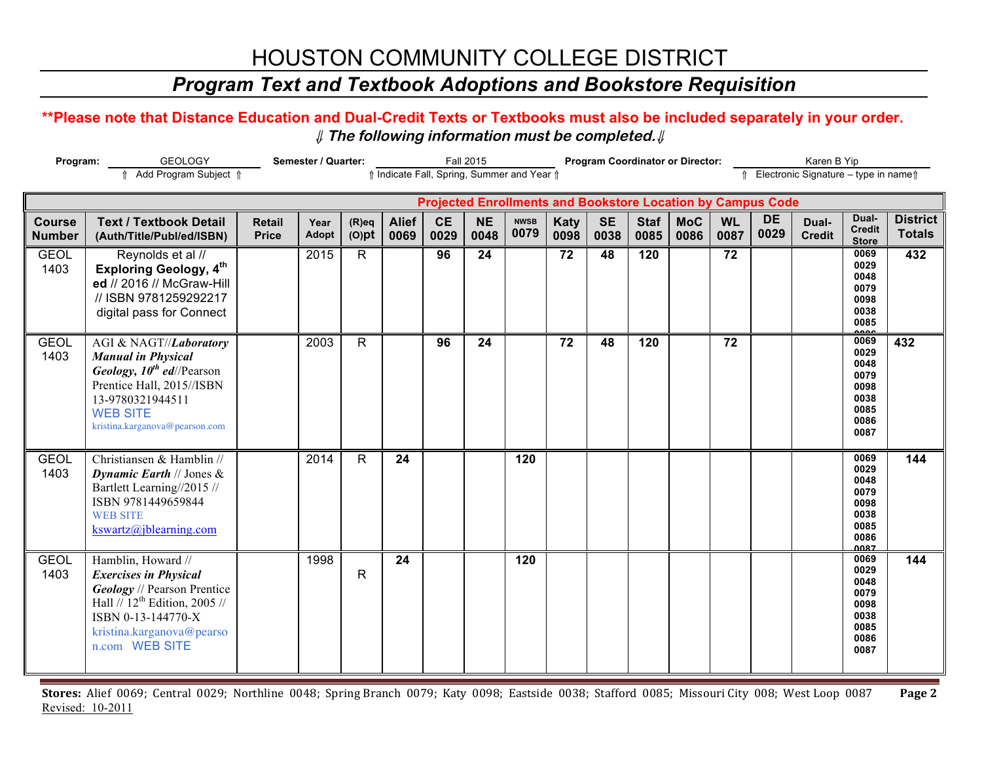# HOUSTON COMMUNITY COLLEGE DISTRICT

## *Program Text and Textbook Adoptions and Bookstore Requisition*

### **\*\*Please note that Distance Education and Dual-Credit Texts or Textbooks must also be included separately in your order.**  ⇓ **The following information must be completed.**⇓

| Program:                                                                                                     |                                                                                                                                                                                                  | Semester / Quarter:           |                      | <b>Fall 2015</b>     |                      |                                                                    |                   |                     |                     | <b>Program Coordinator or Director:</b> |                     | Karen B Yip        |                   |                   |                        |                                                                      |                                  |
|--------------------------------------------------------------------------------------------------------------|--------------------------------------------------------------------------------------------------------------------------------------------------------------------------------------------------|-------------------------------|----------------------|----------------------|----------------------|--------------------------------------------------------------------|-------------------|---------------------|---------------------|-----------------------------------------|---------------------|--------------------|-------------------|-------------------|------------------------|----------------------------------------------------------------------|----------------------------------|
| Add Program Subject 1<br>↑ Indicate Fall, Spring, Summer and Year ↑<br>↑ Electronic Signature - type in name |                                                                                                                                                                                                  |                               |                      |                      |                      |                                                                    |                   |                     |                     |                                         |                     |                    |                   |                   |                        |                                                                      |                                  |
|                                                                                                              |                                                                                                                                                                                                  |                               |                      |                      |                      | <b>Projected Enrollments and Bookstore Location by Campus Code</b> |                   |                     |                     |                                         |                     |                    |                   |                   |                        |                                                                      |                                  |
| <b>Course</b><br><b>Number</b>                                                                               | <b>Text / Textbook Detail</b><br>(Auth/Title/Publ/ed/ISBN)                                                                                                                                       | <b>Retail</b><br><b>Price</b> | Year<br><b>Adopt</b> | $(R)$ eq<br>$(O)$ pt | <b>Alief</b><br>0069 | <b>CE</b><br>0029                                                  | <b>NE</b><br>0048 | <b>NWSB</b><br>0079 | <b>Katy</b><br>0098 | <b>SE</b><br>0038                       | <b>Staf</b><br>0085 | <b>MoC</b><br>0086 | <b>WL</b><br>0087 | <b>DE</b><br>0029 | Dual-<br><b>Credit</b> | Dual-<br><b>Credit</b><br><b>Store</b>                               | <b>District</b><br><b>Totals</b> |
| <b>GEOL</b><br>1403                                                                                          | Reynolds et al //<br><b>Exploring Geology, 4th</b><br>ed // 2016 // McGraw-Hill<br>// ISBN 9781259292217<br>digital pass for Connect                                                             |                               | 2015                 | R                    |                      | 96                                                                 | 24                |                     | 72                  | 48                                      | 120                 |                    | 72                |                   |                        | 0069<br>0029<br>0048<br>0079<br>0098<br>0038<br>0085<br>$\sim$       | 432                              |
| <b>GEOL</b><br>1403                                                                                          | AGI & NAGT//Laboratory<br><b>Manual in Physical</b><br>Geology, $10^{th}$ ed//Pearson<br>Prentice Hall, 2015//ISBN<br>13-9780321944511<br><b>WEB SITE</b><br>kristina.karganova@pearson.com      |                               | 2003                 | R                    |                      | 96                                                                 | 24                |                     | 72                  | 48                                      | 120                 |                    | 72                |                   |                        | 0069<br>0029<br>0048<br>0079<br>0098<br>0038<br>0085<br>0086<br>0087 | 432                              |
| <b>GEOL</b><br>1403                                                                                          | Christiansen & Hamblin //<br>Dynamic Earth $//$ Jones &<br>Bartlett Learning//2015 //<br>ISBN 9781449659844<br><b>WEB SITE</b><br>kswartz@jblearning.com                                         |                               | 2014                 | R                    | 24                   |                                                                    |                   | 120                 |                     |                                         |                     |                    |                   |                   |                        | 0069<br>0029<br>0048<br>0079<br>0098<br>0038<br>0085<br>0086<br>0087 | 144                              |
| <b>GEOL</b><br>1403                                                                                          | Hamblin, Howard //<br><b>Exercises in Physical</b><br><b>Geology</b> // Pearson Prentice<br>Hall $// 12th Edition, 2005$ //<br>ISBN 0-13-144770-X<br>kristina.karganova@pearso<br>n.com WEB SITE |                               | 1998                 | R                    | 24                   |                                                                    |                   | 120                 |                     |                                         |                     |                    |                   |                   |                        | 0069<br>0029<br>0048<br>0079<br>0098<br>0038<br>0085<br>0086<br>0087 | 144                              |

Stores: Alief 0069; Central 0029; Northline 0048; Spring Branch 0079; Katy 0098; Eastside 0038; Stafford 0085; Missouri City 008; West Loop 0087 Page 2 Revised: 10-2011